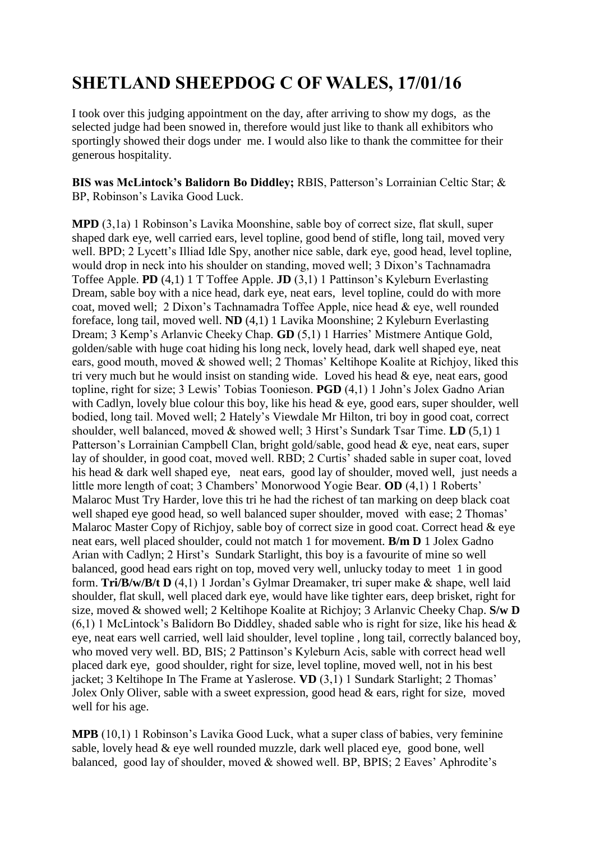## **SHETLAND SHEEPDOG C OF WALES, 17/01/16**

I took over this judging appointment on the day, after arriving to show my dogs, as the selected judge had been snowed in, therefore would just like to thank all exhibitors who sportingly showed their dogs under me. I would also like to thank the committee for their generous hospitality.

**BIS was McLintock's Balidorn Bo Diddley;** RBIS, Patterson's Lorrainian Celtic Star; & BP, Robinson's Lavika Good Luck.

**MPD** (3,1a) 1 Robinson's Lavika Moonshine, sable boy of correct size, flat skull, super shaped dark eye, well carried ears, level topline, good bend of stifle, long tail, moved very well. BPD; 2 Lycett's Illiad Idle Spy, another nice sable, dark eye, good head, level topline, would drop in neck into his shoulder on standing, moved well; 3 Dixon's Tachnamadra Toffee Apple. **PD** (4,1) 1 T Toffee Apple. **JD** (3,1) 1 Pattinson's Kyleburn Everlasting Dream, sable boy with a nice head, dark eye, neat ears, level topline, could do with more coat, moved well; 2 Dixon's Tachnamadra Toffee Apple, nice head & eye, well rounded foreface, long tail, moved well. **ND** (4,1) 1 Lavika Moonshine; 2 Kyleburn Everlasting Dream; 3 Kemp's Arlanvic Cheeky Chap. **GD** (5,1) 1 Harries' Mistmere Antique Gold, golden/sable with huge coat hiding his long neck, lovely head, dark well shaped eye, neat ears, good mouth, moved & showed well; 2 Thomas' Keltihope Koalite at Richjoy, liked this tri very much but he would insist on standing wide. Loved his head & eye, neat ears, good topline, right for size; 3 Lewis' Tobias Toonieson. **PGD** (4,1) 1 John's Jolex Gadno Arian with Cadlyn, lovely blue colour this boy, like his head & eye, good ears, super shoulder, well bodied, long tail. Moved well; 2 Hately's Viewdale Mr Hilton, tri boy in good coat, correct shoulder, well balanced, moved & showed well; 3 Hirst's Sundark Tsar Time. **LD** (5,1) 1 Patterson's Lorrainian Campbell Clan, bright gold/sable, good head & eye, neat ears, super lay of shoulder, in good coat, moved well. RBD; 2 Curtis' shaded sable in super coat, loved his head & dark well shaped eye, neat ears, good lay of shoulder, moved well, just needs a little more length of coat; 3 Chambers' Monorwood Yogie Bear. **OD** (4,1) 1 Roberts' Malaroc Must Try Harder, love this tri he had the richest of tan marking on deep black coat well shaped eye good head, so well balanced super shoulder, moved with ease; 2 Thomas' Malaroc Master Copy of Richjoy, sable boy of correct size in good coat. Correct head & eye neat ears, well placed shoulder, could not match 1 for movement. **B/m D** 1 Jolex Gadno Arian with Cadlyn; 2 Hirst's Sundark Starlight, this boy is a favourite of mine so well balanced, good head ears right on top, moved very well, unlucky today to meet 1 in good form. **Tri/B/w/B/t D** (4,1) 1 Jordan's Gylmar Dreamaker, tri super make & shape, well laid shoulder, flat skull, well placed dark eye, would have like tighter ears, deep brisket, right for size, moved & showed well; 2 Keltihope Koalite at Richjoy; 3 Arlanvic Cheeky Chap. **S/w D**  $(6,1)$  1 McLintock's Balidorn Bo Diddley, shaded sable who is right for size, like his head  $\&$ eye, neat ears well carried, well laid shoulder, level topline , long tail, correctly balanced boy, who moved very well. BD, BIS; 2 Pattinson's Kyleburn Acis, sable with correct head well placed dark eye, good shoulder, right for size, level topline, moved well, not in his best jacket; 3 Keltihope In The Frame at Yaslerose. **VD** (3,1) 1 Sundark Starlight; 2 Thomas' Jolex Only Oliver, sable with a sweet expression, good head & ears, right for size, moved well for his age.

**MPB** (10,1) 1 Robinson's Lavika Good Luck, what a super class of babies, very feminine sable, lovely head & eye well rounded muzzle, dark well placed eye, good bone, well balanced, good lay of shoulder, moved & showed well. BP, BPIS; 2 Eaves' Aphrodite's